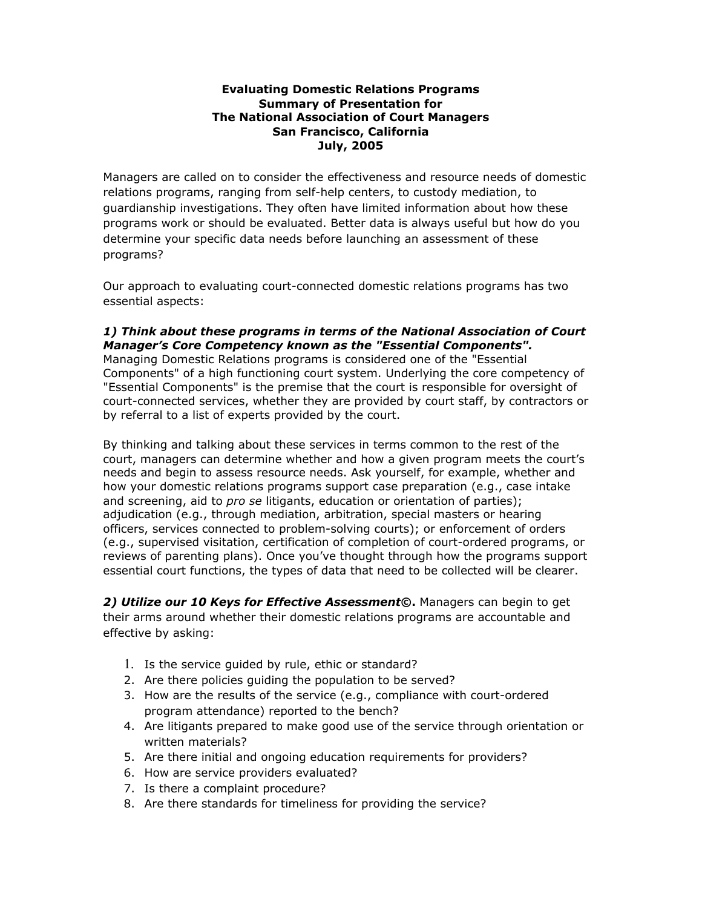## **Evaluating Domestic Relations Programs Summary of Presentation for The National Association of Court Managers San Francisco, California July, 2005**

Managers are called on to consider the effectiveness and resource needs of domestic relations programs, ranging from self-help centers, to custody mediation, to guardianship investigations. They often have limited information about how these programs work or should be evaluated. Better data is always useful but how do you determine your specific data needs before launching an assessment of these programs?

Our approach to evaluating court-connected domestic relations programs has two essential aspects:

## *1) Think about these programs in terms of the National Association of Court Manager's Core Competency known as the "Essential Components".*

Managing Domestic Relations programs is considered one of the "Essential Components" of a high functioning court system. Underlying the core competency of "Essential Components" is the premise that the court is responsible for oversight of court-connected services, whether they are provided by court staff, by contractors or by referral to a list of experts provided by the court.

By thinking and talking about these services in terms common to the rest of the court, managers can determine whether and how a given program meets the court's needs and begin to assess resource needs. Ask yourself, for example, whether and how your domestic relations programs support case preparation (e.g., case intake and screening, aid to *pro se* litigants, education or orientation of parties); adjudication (e.g., through mediation, arbitration, special masters or hearing officers, services connected to problem-solving courts); or enforcement of orders (e.g., supervised visitation, certification of completion of court-ordered programs, or reviews of parenting plans). Once you've thought through how the programs support essential court functions, the types of data that need to be collected will be clearer.

*2) Utilize our 10 Keys for Effective Assessment***©.** Managers can begin to get their arms around whether their domestic relations programs are accountable and effective by asking:

- 1. Is the service guided by rule, ethic or standard?
- 2. Are there policies guiding the population to be served?
- 3. How are the results of the service (e.g., compliance with court-ordered program attendance) reported to the bench?
- 4. Are litigants prepared to make good use of the service through orientation or written materials?
- 5. Are there initial and ongoing education requirements for providers?
- 6. How are service providers evaluated?
- 7. Is there a complaint procedure?
- 8. Are there standards for timeliness for providing the service?